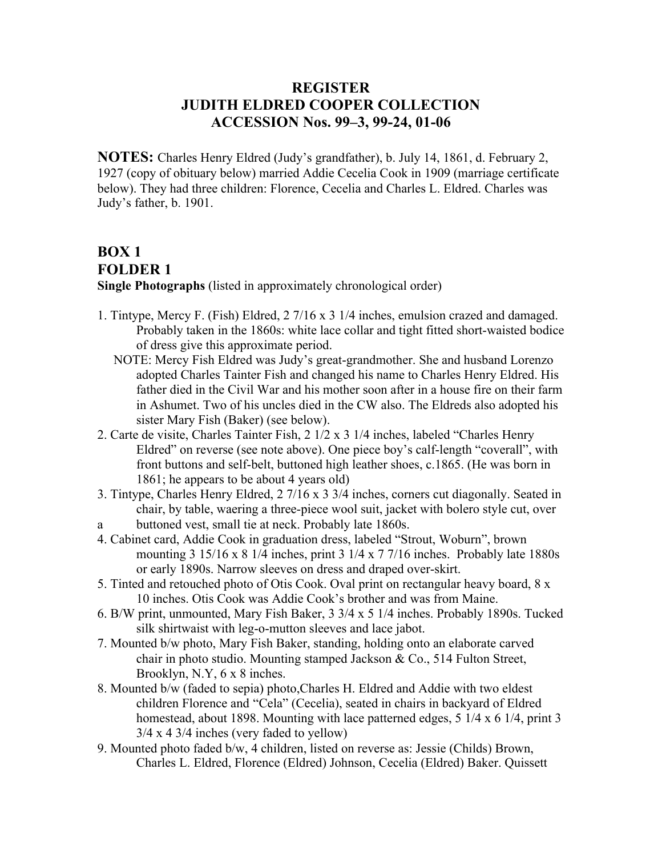## **REGISTER JUDITH ELDRED COOPER COLLECTION ACCESSION Nos. 99–3, 99-24, 01-06**

**NOTES:** Charles Henry Eldred (Judy's grandfather), b. July 14, 1861, d. February 2, 1927 (copy of obituary below) married Addie Cecelia Cook in 1909 (marriage certificate below). They had three children: Florence, Cecelia and Charles L. Eldred. Charles was Judy's father, b. 1901.

# **BOX 1 FOLDER 1**

**Single Photographs** (listed in approximately chronological order)

- 1. Tintype, Mercy F. (Fish) Eldred, 2 7/16 x 3 1/4 inches, emulsion crazed and damaged. Probably taken in the 1860s: white lace collar and tight fitted short-waisted bodice of dress give this approximate period.
	- NOTE: Mercy Fish Eldred was Judy's great-grandmother. She and husband Lorenzo adopted Charles Tainter Fish and changed his name to Charles Henry Eldred. His father died in the Civil War and his mother soon after in a house fire on their farm in Ashumet. Two of his uncles died in the CW also. The Eldreds also adopted his sister Mary Fish (Baker) (see below).
- 2. Carte de visite, Charles Tainter Fish, 2 1/2 x 3 1/4 inches, labeled "Charles Henry Eldred" on reverse (see note above). One piece boy's calf-length "coverall", with front buttons and self-belt, buttoned high leather shoes, c.1865. (He was born in 1861; he appears to be about 4 years old)
- 3. Tintype, Charles Henry Eldred, 2 7/16 x 3 3/4 inches, corners cut diagonally. Seated in chair, by table, waering a three-piece wool suit, jacket with bolero style cut, over
- a buttoned vest, small tie at neck. Probably late 1860s.
- 4. Cabinet card, Addie Cook in graduation dress, labeled "Strout, Woburn", brown mounting 3 15/16 x 8 1/4 inches, print 3 1/4 x 7 7/16 inches. Probably late 1880s or early 1890s. Narrow sleeves on dress and draped over-skirt.
- 5. Tinted and retouched photo of Otis Cook. Oval print on rectangular heavy board, 8 x 10 inches. Otis Cook was Addie Cook's brother and was from Maine.
- 6. B/W print, unmounted, Mary Fish Baker, 3 3/4 x 5 1/4 inches. Probably 1890s. Tucked silk shirtwaist with leg-o-mutton sleeves and lace jabot.
- 7. Mounted b/w photo, Mary Fish Baker, standing, holding onto an elaborate carved chair in photo studio. Mounting stamped Jackson & Co., 514 Fulton Street, Brooklyn, N.Y, 6 x 8 inches.
- 8. Mounted b/w (faded to sepia) photo,Charles H. Eldred and Addie with two eldest children Florence and "Cela" (Cecelia), seated in chairs in backyard of Eldred homestead, about 1898. Mounting with lace patterned edges, 5 1/4 x 6 1/4, print 3 3/4 x 4 3/4 inches (very faded to yellow)
- 9. Mounted photo faded b/w, 4 children, listed on reverse as: Jessie (Childs) Brown, Charles L. Eldred, Florence (Eldred) Johnson, Cecelia (Eldred) Baker. Quissett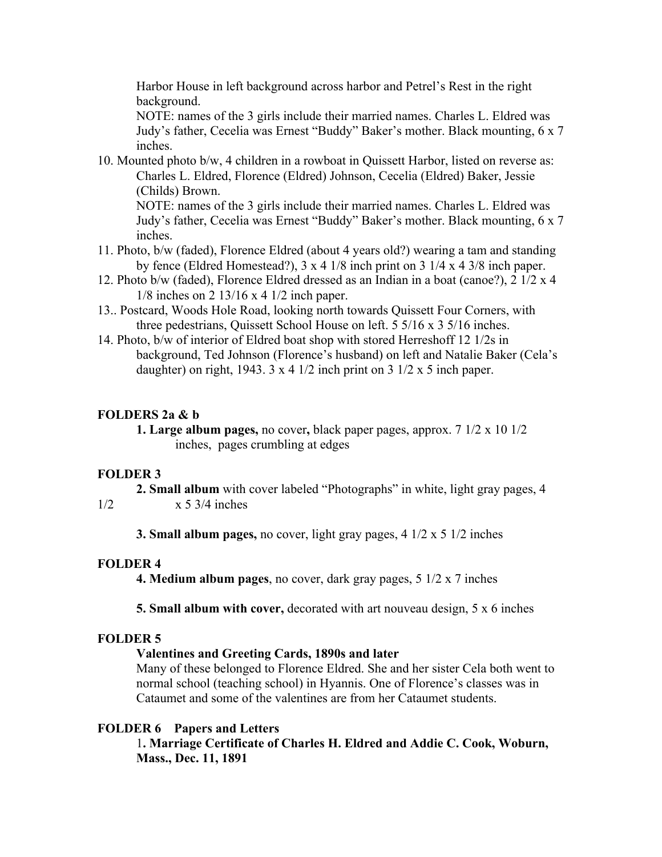Harbor House in left background across harbor and Petrel's Rest in the right background.

NOTE: names of the 3 girls include their married names. Charles L. Eldred was Judy's father, Cecelia was Ernest "Buddy" Baker's mother. Black mounting, 6 x 7 inches.

10. Mounted photo b/w, 4 children in a rowboat in Quissett Harbor, listed on reverse as: Charles L. Eldred, Florence (Eldred) Johnson, Cecelia (Eldred) Baker, Jessie (Childs) Brown.

NOTE: names of the 3 girls include their married names. Charles L. Eldred was Judy's father, Cecelia was Ernest "Buddy" Baker's mother. Black mounting, 6 x 7 inches.

- 11. Photo, b/w (faded), Florence Eldred (about 4 years old?) wearing a tam and standing by fence (Eldred Homestead?), 3 x 4 1/8 inch print on 3 1/4 x 4 3/8 inch paper.
- 12. Photo b/w (faded), Florence Eldred dressed as an Indian in a boat (canoe?), 2 1/2 x 4 1/8 inches on 2 13/16 x 4 1/2 inch paper.
- 13.. Postcard, Woods Hole Road, looking north towards Quissett Four Corners, with three pedestrians, Quissett School House on left. 5 5/16 x 3 5/16 inches.
- 14. Photo, b/w of interior of Eldred boat shop with stored Herreshoff 12 1/2s in background, Ted Johnson (Florence's husband) on left and Natalie Baker (Cela's daughter) on right, 1943.  $3 \times 4$  1/2 inch print on  $3 \frac{1}{2} \times 5$  inch paper.

#### **FOLDERS 2a & b**

**1. Large album pages,** no cover**,** black paper pages, approx. 7 1/2 x 10 1/2 inches, pages crumbling at edges

#### **FOLDER 3**

**2. Small album** with cover labeled "Photographs" in white, light gray pages, 4

1/2 x 5 3/4 inches

**3. Small album pages,** no cover, light gray pages, 4 1/2 x 5 1/2 inches

#### **FOLDER 4**

**4. Medium album pages**, no cover, dark gray pages, 5 1/2 x 7 inches

**5. Small album with cover,** decorated with art nouveau design, 5 x 6 inches

#### **FOLDER 5**

#### **Valentines and Greeting Cards, 1890s and later**

Many of these belonged to Florence Eldred. She and her sister Cela both went to normal school (teaching school) in Hyannis. One of Florence's classes was in Cataumet and some of the valentines are from her Cataumet students.

#### **FOLDER 6 Papers and Letters**

1**. Marriage Certificate of Charles H. Eldred and Addie C. Cook, Woburn, Mass., Dec. 11, 1891**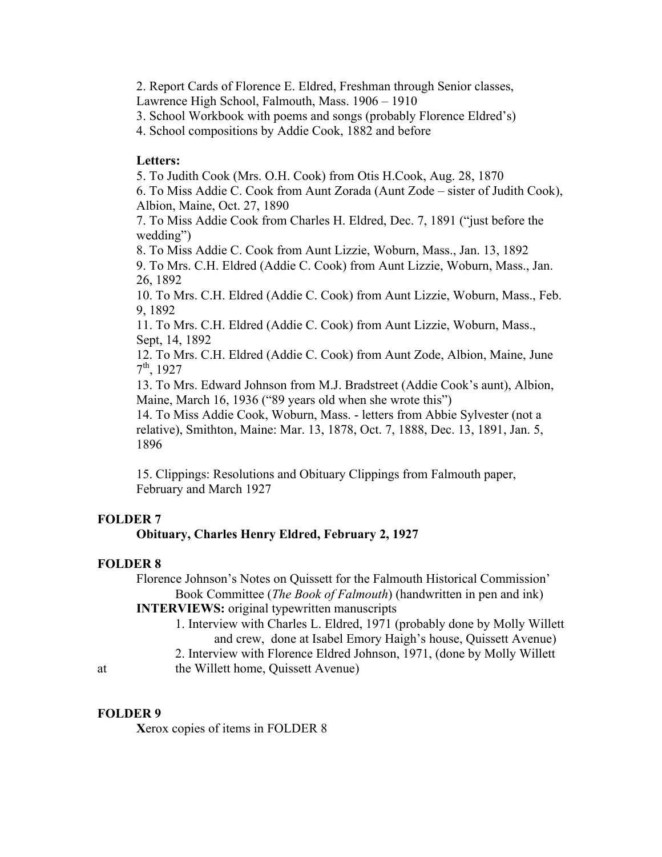2. Report Cards of Florence E. Eldred, Freshman through Senior classes,

Lawrence High School, Falmouth, Mass. 1906 – 1910

3. School Workbook with poems and songs (probably Florence Eldred's)

4. School compositions by Addie Cook, 1882 and before

#### **Letters:**

5. To Judith Cook (Mrs. O.H. Cook) from Otis H.Cook, Aug. 28, 1870

6. To Miss Addie C. Cook from Aunt Zorada (Aunt Zode – sister of Judith Cook), Albion, Maine, Oct. 27, 1890

7. To Miss Addie Cook from Charles H. Eldred, Dec. 7, 1891 ("just before the wedding")

8. To Miss Addie C. Cook from Aunt Lizzie, Woburn, Mass., Jan. 13, 1892

9. To Mrs. C.H. Eldred (Addie C. Cook) from Aunt Lizzie, Woburn, Mass., Jan. 26, 1892

10. To Mrs. C.H. Eldred (Addie C. Cook) from Aunt Lizzie, Woburn, Mass., Feb. 9, 1892

11. To Mrs. C.H. Eldred (Addie C. Cook) from Aunt Lizzie, Woburn, Mass., Sept, 14, 1892

12. To Mrs. C.H. Eldred (Addie C. Cook) from Aunt Zode, Albion, Maine, June  $7^{\text{th}}$ , 1927

13. To Mrs. Edward Johnson from M.J. Bradstreet (Addie Cook's aunt), Albion, Maine, March 16, 1936 ("89 years old when she wrote this")

14. To Miss Addie Cook, Woburn, Mass. - letters from Abbie Sylvester (not a relative), Smithton, Maine: Mar. 13, 1878, Oct. 7, 1888, Dec. 13, 1891, Jan. 5, 1896

15. Clippings: Resolutions and Obituary Clippings from Falmouth paper, February and March 1927

#### **FOLDER 7**

#### **Obituary, Charles Henry Eldred, February 2, 1927**

#### **FOLDER 8**

Florence Johnson's Notes on Quissett for the Falmouth Historical Commission' Book Committee (*The Book of Falmouth*) (handwritten in pen and ink) **INTERVIEWS:** original typewritten manuscripts

1. Interview with Charles L. Eldred, 1971 (probably done by Molly Willett and crew, done at Isabel Emory Haigh's house, Quissett Avenue)

2. Interview with Florence Eldred Johnson, 1971, (done by Molly Willett

at the Willett home, Quissett Avenue)

### **FOLDER 9**

**X**erox copies of items in FOLDER 8